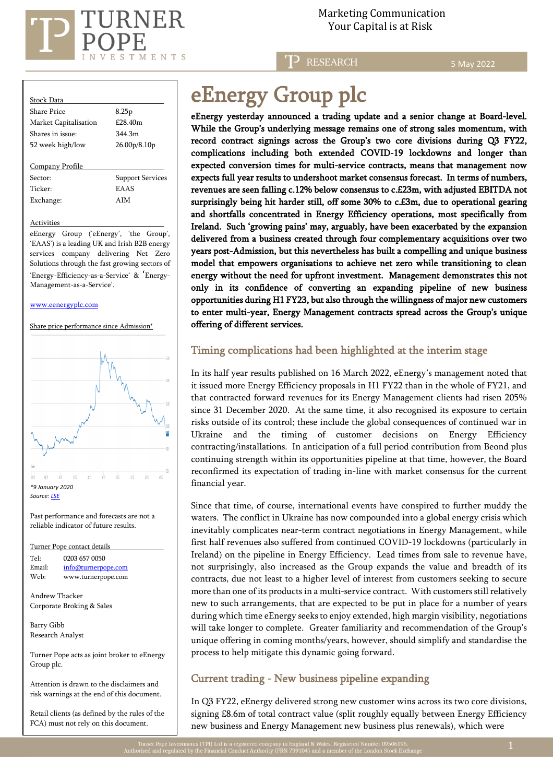

Marketing Communication

**P** RESEARCH

5 May 2022

| Stock Data            |                                       |
|-----------------------|---------------------------------------|
| Share Price           | 8.25p                                 |
| Market Capitalisation | £28.40m                               |
| Shares in issue:      | 344 3m                                |
| 52 week high/low      | 26.00 <sub>p</sub> /8.10 <sub>p</sub> |
| Company Profile       |                                       |
| Sector:               | <b>Support Services</b>               |
| Ticker <sup>.</sup>   | <b>EAAS</b>                           |
| Exchange:             | <b>AIM</b>                            |
|                       |                                       |

Activities

eEnergy Group ('eEnergy', 'the Group', 'EAAS') is a leading UK and Irish B2B energy services company delivering Net Zero Solutions through the fast growing sectors of 'Energy-Efficiency-as-a-Service' & 'Energy-Management-as-a-Service'.

#### [www.eenergyplc.com](http://www.eenergyplc.com/)

Share price performance since Admission\*



Past performance and forecasts are not a reliable indicator of future results.

Turner Pope contact details Tel: [0203](tel:0203) 657 0050 Email: [info@turnerpope.com](mailto:info@turnerpope.com) Web: www.turnerpope.com Andrew Thacker Corporate Broking & Sales Barry Gibb

Research Analyst

Turner Pope acts as joint broker to eEnergy Group plc.

Attention is drawn to the disclaimers and risk warnings at the end of this document.

Retail clients (as defined by the rules of the FCA) must not rely on this document.

# eEnergy Group plc

eEnergy yesterday announced a trading update and a senior change at Board-level. While the Group's underlying message remains one of strong sales momentum, with record contract signings across the Group's two core divisions during Q3 FY22, complications including both extended COVID-19 lockdowns and longer than expected conversion times for multi-service contracts, means that management now expects full year results to undershoot market consensus forecast. In terms of numbers, revenues are seen falling c.12% below consensus to c.£23m, with adjusted EBITDA not surprisingly being hit harder still, off some 30% to c.£3m, due to operational gearing and shortfalls concentrated in Energy Efficiency operations, most specifically from Ireland. Such 'growing pains' may, arguably, have been exacerbated by the expansion delivered from a business created through four complementary acquisitions over two years post-Admission, but this nevertheless has built a compelling and unique business model that empowers organisations to achieve net zero while transitioning to clean energy without the need for upfront investment. Management demonstrates this not only in its confidence of converting an expanding pipeline of new business opportunities during H1 FY23, but also through the willingness of major new customers to enter multi-year, Energy Management contracts spread across the Group's unique offering of different services.

### Timing complications had been highlighted at the interim stage

In its half year results published on 16 March 2022, eEnergy's management noted that it issued more Energy Efficiency proposals in H1 FY22 than in the whole of FY21, and that contracted forward revenues for its Energy Management clients had risen 205% since 31 December 2020. At the same time, it also recognised its exposure to certain risks outside of its control; these include the global consequences of continued war in Ukraine and the timing of customer decisions on Energy Efficiency contracting/installations. In anticipation of a full period contribution from Beond plus continuing strength within its opportunities pipeline at that time, however, the Board reconfirmed its expectation of trading in-line with market consensus for the current financial year.

Since that time, of course, international events have conspired to further muddy the waters. The conflict in Ukraine has now compounded into a global energy crisis which inevitably complicates near-term contract negotiations in Energy Management, while first half revenues also suffered from continued COVID-19 lockdowns (particularly in Ireland) on the pipeline in Energy Efficiency. Lead times from sale to revenue have, not surprisingly, also increased as the Group expands the value and breadth of its contracts, due not least to a higher level of interest from customers seeking to secure more than one of its products in a multi-service contract. With customers still relatively new to such arrangements, that are expected to be put in place for a number of years during which time eEnergy seeks to enjoy extended, high margin visibility, negotiations will take longer to complete. Greater familiarity and recommendation of the Group's unique offering in coming months/years, however, should simplify and standardise the process to help mitigate this dynamic going forward.

## Current trading - New business pipeline expanding

In Q3 FY22, eEnergy delivered strong new customer wins across its two core divisions, signing £8.6m of total contract value (split roughly equally between Energy Efficiency new business and Energy Management new business plus renewals), which were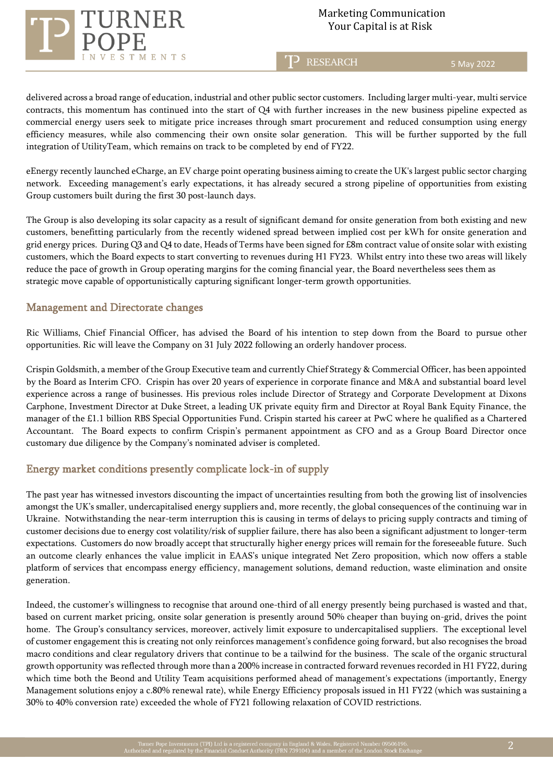

TP RESEARCH

5 May 2022

delivered across a broad range of education, industrial and other public sector customers. Including larger multi-year, multi service contracts, this momentum has continued into the start of Q4 with further increases in the new business pipeline expected as commercial energy users seek to mitigate price increases through smart procurement and reduced consumption using energy efficiency measures, while also commencing their own onsite solar generation. This will be further supported by the full integration of UtilityTeam, which remains on track to be completed by end of FY22.

eEnergy recently launched eCharge, an EV charge point operating business aiming to create the UK's largest public sector charging network. Exceeding management's early expectations, it has already secured a strong pipeline of opportunities from existing Group customers built during the first 30 post-launch days.

The Group is also developing its solar capacity as a result of significant demand for onsite generation from both existing and new customers, benefitting particularly from the recently widened spread between implied cost per kWh for onsite generation and grid energy prices. During Q3 and Q4 to date, Heads of Terms have been signed for £8m contract value of onsite solar with existing customers, which the Board expects to start converting to revenues during H1 FY23. Whilst entry into these two areas will likely reduce the pace of growth in Group operating margins for the coming financial year, the Board nevertheless sees them as strategic move capable of opportunistically capturing significant longer-term growth opportunities.

### Management and Directorate changes

Ric Williams, Chief Financial Officer, has advised the Board of his intention to step down from the Board to pursue other opportunities. Ric will leave the Company on 31 July 2022 following an orderly handover process.

Crispin Goldsmith, a member of the Group Executive team and currently Chief Strategy & Commercial Officer, has been appointed by the Board as Interim CFO. Crispin has over 20 years of experience in corporate finance and M&A and substantial board level experience across a range of businesses. His previous roles include Director of Strategy and Corporate Development at Dixons Carphone, Investment Director at Duke Street, a leading UK private equity firm and Director at Royal Bank Equity Finance, the manager of the £1.1 billion RBS Special Opportunities Fund. Crispin started his career at PwC where he qualified as a Chartered Accountant. The Board expects to confirm Crispin's permanent appointment as CFO and as a Group Board Director once customary due diligence by the Company's nominated adviser is completed.

## Energy market conditions presently complicate lock-in of supply

The past year has witnessed investors discounting the impact of uncertainties resulting from both the growing list of insolvencies amongst the UK's smaller, undercapitalised energy suppliers and, more recently, the global consequences of the continuing war in Ukraine. Notwithstanding the near-term interruption this is causing in terms of delays to pricing supply contracts and timing of customer decisions due to energy cost volatility/risk of supplier failure, there has also been a significant adjustment to longer-term expectations. Customers do now broadly accept that structurally higher energy prices will remain for the foreseeable future. Such an outcome clearly enhances the value implicit in EAAS's unique integrated Net Zero proposition, which now offers a stable platform of services that encompass energy efficiency, management solutions, demand reduction, waste elimination and onsite generation.

Indeed, the customer's willingness to recognise that around one-third of all energy presently being purchased is wasted and that, based on current market pricing, onsite solar generation is presently around 50% cheaper than buying on-grid, drives the point home. The Group's consultancy services, moreover, actively limit exposure to undercapitalised suppliers. The exceptional level of customer engagement this is creating not only reinforces management's confidence going forward, but also recognises the broad macro conditions and clear regulatory drivers that continue to be a tailwind for the business. The scale of the organic structural growth opportunity was reflected through more than a 200% increase in contracted forward revenues recorded in H1 FY22, during which time both the Beond and Utility Team acquisitions performed ahead of management's expectations (importantly, Energy Management solutions enjoy a c.80% renewal rate), while Energy Efficiency proposals issued in H1 FY22 (which was sustaining a 30% to 40% conversion rate) exceeded the whole of FY21 following relaxation of COVID restrictions.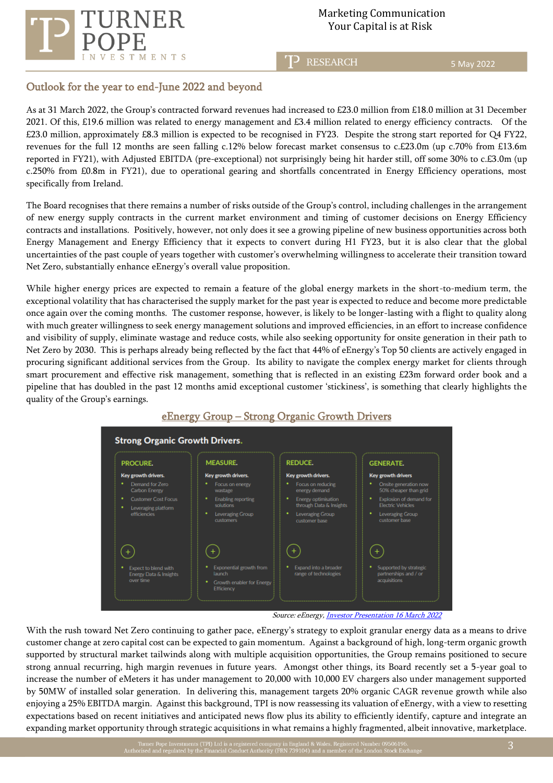

# Marketing Communication

T<sup>2</sup> RESEARCH

5 May 2022

## Outlook for the year to end-June 2022 and beyond

As at 31 March 2022, the Group's contracted forward revenues had increased to £23.0 million from £18.0 million at 31 December 2021. Of this, £19.6 million was related to energy management and £3.4 million related to energy efficiency contracts. Of the £23.0 million, approximately £8.3 million is expected to be recognised in FY23. Despite the strong start reported for Q4 FY22, revenues for the full 12 months are seen falling c.12% below forecast market consensus to c.£23.0m (up c.70% from £13.6m reported in FY21), with Adjusted EBITDA (pre-exceptional) not surprisingly being hit harder still, off some 30% to c.£3.0m (up c.250% from £0.8m in FY21), due to operational gearing and shortfalls concentrated in Energy Efficiency operations, most specifically from Ireland.

The Board recognises that there remains a number of risks outside of the Group's control, including challenges in the arrangement of new energy supply contracts in the current market environment and timing of customer decisions on Energy Efficiency contracts and installations. Positively, however, not only does it see a growing pipeline of new business opportunities across both Energy Management and Energy Efficiency that it expects to convert during H1 FY23, but it is also clear that the global uncertainties of the past couple of years together with customer's overwhelming willingness to accelerate their transition toward Net Zero, substantially enhance eEnergy's overall value proposition.

While higher energy prices are expected to remain a feature of the global energy markets in the short-to-medium term, the exceptional volatility that has characterised the supply market for the past year is expected to reduce and become more predictable once again over the coming months. The customer response, however, is likely to be longer-lasting with a flight to quality along with much greater willingness to seek energy management solutions and improved efficiencies, in an effort to increase confidence and visibility of supply, eliminate wastage and reduce costs, while also seeking opportunity for onsite generation in their path to Net Zero by 2030. This is perhaps already being reflected by the fact that 44% of eEnergy's Top 50 clients are actively engaged in procuring significant additional services from the Group. Its ability to navigate the complex energy market for clients through smart procurement and effective risk management, something that is reflected in an existing £23m forward order book and a pipeline that has doubled in the past 12 months amid exceptional customer 'stickiness', is something that clearly highlights the quality of the Group's earnings.



# eEnergy Group – Strong Organic Growth Drivers

Source: eEnergy, **Investor Presentation 16 March 2022** 

With the rush toward Net Zero continuing to gather pace, eEnergy's strategy to exploit granular energy data as a means to drive customer change at zero capital cost can be expected to gain momentum. Against a background of high, long-term organic growth supported by structural market tailwinds along with multiple acquisition opportunities, the Group remains positioned to secure strong annual recurring, high margin revenues in future years. Amongst other things, its Board recently set a 5-year goal to increase the number of eMeters it has under management to 20,000 with 10,000 EV chargers also under management supported by 50MW of installed solar generation. In delivering this, management targets 20% organic CAGR revenue growth while also enjoying a 25% EBITDA margin. Against this background, TPI is now reassessing its valuation of eEnergy, with a view to resetting expectations based on recent initiatives and anticipated news flow plus its ability to efficiently identify, capture and integrate an expanding market opportunity through strategic acquisitions in what remains a highly fragmented, albeit innovative, marketplace.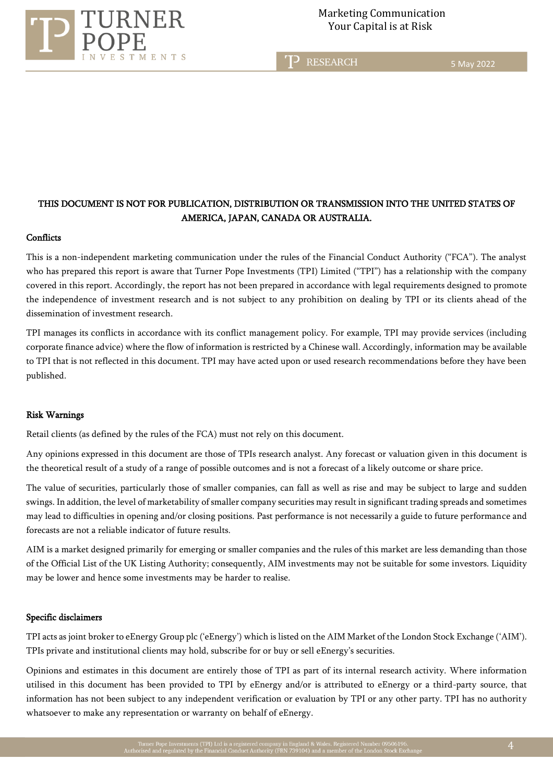

T<sub>2</sub> RESEARCH

5 May 2022

## THIS DOCUMENT IS NOT FOR PUBLICATION, DISTRIBUTION OR TRANSMISSION INTO THE UNITED STATES OF AMERICA, JAPAN, CANADA OR AUSTRALIA.

#### **Conflicts**

This is a non-independent marketing communication under the rules of the Financial Conduct Authority ("FCA"). The analyst who has prepared this report is aware that Turner Pope Investments (TPI) Limited ("TPI") has a relationship with the company covered in this report. Accordingly, the report has not been prepared in accordance with legal requirements designed to promote the independence of investment research and is not subject to any prohibition on dealing by TPI or its clients ahead of the dissemination of investment research.

TPI manages its conflicts in accordance with its conflict management policy. For example, TPI may provide services (including corporate finance advice) where the flow of information is restricted by a Chinese wall. Accordingly, information may be available to TPI that is not reflected in this document. TPI may have acted upon or used research recommendations before they have been published.

#### Risk Warnings

Retail clients (as defined by the rules of the FCA) must not rely on this document.

Any opinions expressed in this document are those of TPIs research analyst. Any forecast or valuation given in this document is the theoretical result of a study of a range of possible outcomes and is not a forecast of a likely outcome or share price.

The value of securities, particularly those of smaller companies, can fall as well as rise and may be subject to large and sudden swings. In addition, the level of marketability of smaller company securities may result in significant trading spreads and sometimes may lead to difficulties in opening and/or closing positions. Past performance is not necessarily a guide to future performance and forecasts are not a reliable indicator of future results.

AIM is a market designed primarily for emerging or smaller companies and the rules of this market are less demanding than those of the Official List of the UK Listing Authority; consequently, AIM investments may not be suitable for some investors. Liquidity may be lower and hence some investments may be harder to realise.

#### Specific disclaimers

TPI acts as joint broker to eEnergy Group plc ('eEnergy') which is listed on the AIM Market of the London Stock Exchange ('AIM'). TPIs private and institutional clients may hold, subscribe for or buy or sell eEnergy's securities.

Opinions and estimates in this document are entirely those of TPI as part of its internal research activity. Where information utilised in this document has been provided to TPI by eEnergy and/or is attributed to eEnergy or a third-party source, that information has not been subject to any independent verification or evaluation by TPI or any other party. TPI has no authority whatsoever to make any representation or warranty on behalf of eEnergy.